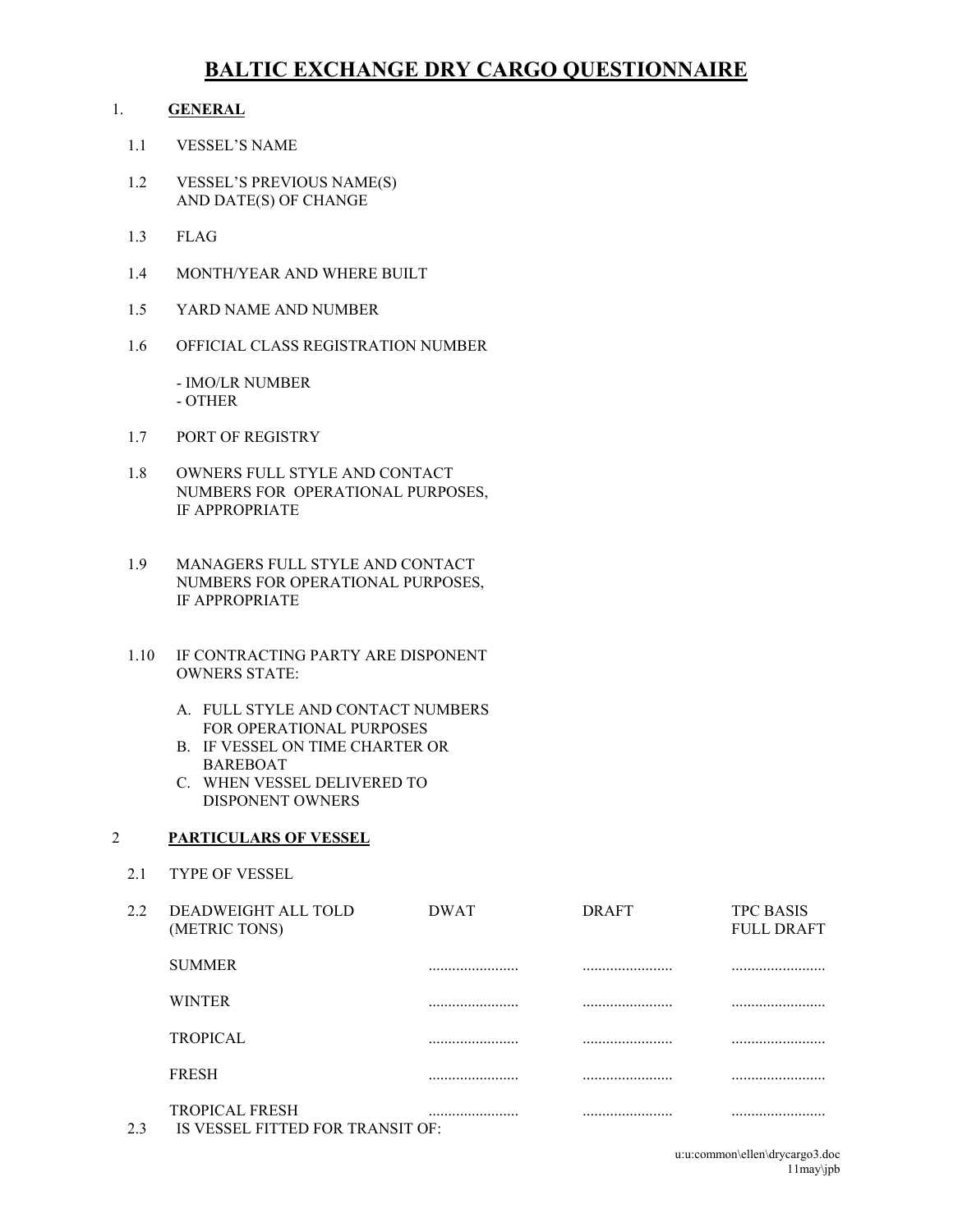# **BALTIC EXCHANGE DRY CARGO QUESTIONNAIRE**

# 1. **GENERAL**

- 1.1 VESSEL'S NAME
- 1.2 VESSEL'S PREVIOUS NAME(S) AND DATE(S) OF CHANGE
- 1.3 FLAG
- 1.4 MONTH/YEAR AND WHERE BUILT
- 1.5 YARD NAME AND NUMBER
- 1.6 OFFICIAL CLASS REGISTRATION NUMBER

- IMO/LR NUMBER - OTHER

- 1.7 PORT OF REGISTRY
- 1.8 OWNERS FULL STYLE AND CONTACT NUMBERS FOR OPERATIONAL PURPOSES, IF APPROPRIATE
- 1.9 MANAGERS FULL STYLE AND CONTACT NUMBERS FOR OPERATIONAL PURPOSES, IF APPROPRIATE
- 1.10 IF CONTRACTING PARTY ARE DISPONENT OWNERS STATE:
	- A. FULL STYLE AND CONTACT NUMBERS FOR OPERATIONAL PURPOSES
	- B. IF VESSEL ON TIME CHARTER OR BAREBOAT
	- C. WHEN VESSEL DELIVERED TO DISPONENT OWNERS

# 2 **PARTICULARS OF VESSEL**

2.1 TYPE OF VESSEL

| $2.2^{\circ}$ | DEADWEIGHT ALL TOLD<br>(METRIC TONS)                      | <b>DWAT</b> | <b>DRAFT</b> | <b>TPC BASIS</b><br><b>FULL DRAFT</b> |
|---------------|-----------------------------------------------------------|-------------|--------------|---------------------------------------|
|               | <b>SUMMER</b>                                             |             |              |                                       |
|               | <b>WINTER</b>                                             |             |              |                                       |
|               | <b>TROPICAL</b>                                           |             |              |                                       |
|               | <b>FRESH</b>                                              |             |              |                                       |
| 2.3           | <b>TROPICAL FRESH</b><br>IS VESSEL FITTED FOR TRANSIT OF: |             |              |                                       |

u:u:common\ellen\drycargo3.doc 11may\jpb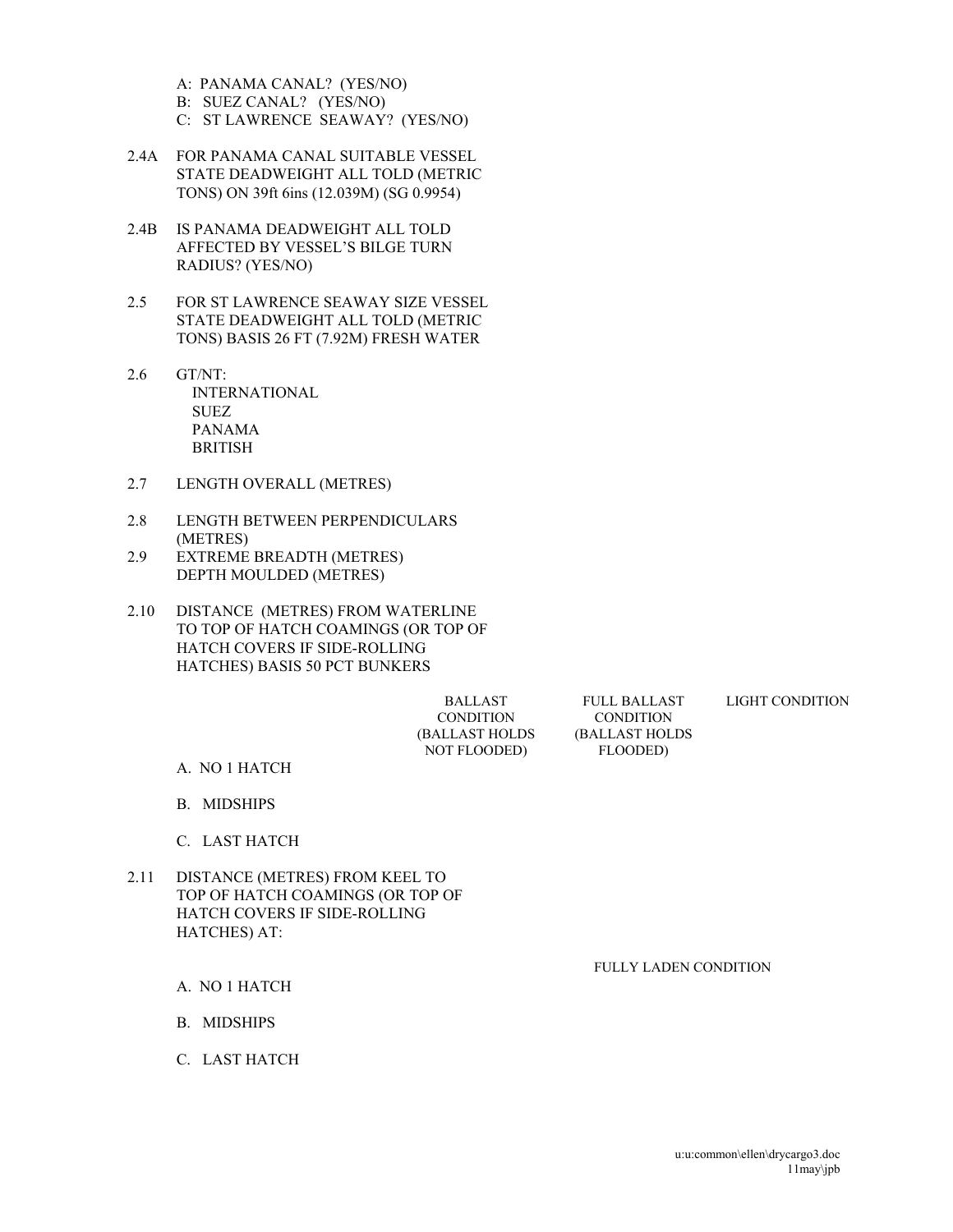- A: PANAMA CANAL? (YES/NO)
- B: SUEZ CANAL? (YES/NO)
- C: ST LAWRENCE SEAWAY? (YES/NO)
- 2.4A FOR PANAMA CANAL SUITABLE VESSEL STATE DEADWEIGHT ALL TOLD (METRIC TONS) ON 39ft 6ins (12.039M) (SG 0.9954)
- 2.4B IS PANAMA DEADWEIGHT ALL TOLD AFFECTED BY VESSEL'S BILGE TURN RADIUS? (YES/NO)
- 2.5 FOR ST LAWRENCE SEAWAY SIZE VESSEL STATE DEADWEIGHT ALL TOLD (METRIC TONS) BASIS 26 FT (7.92M) FRESH WATER
- 2.6 GT/NT: INTERNATIONAL **SUEZ**  PANAMA BRITISH
- 2.7 LENGTH OVERALL (METRES)
- 2.8 LENGTH BETWEEN PERPENDICULARS (METRES)
- 2.9 EXTREME BREADTH (METRES) DEPTH MOULDED (METRES)
- 2.10 DISTANCE (METRES) FROM WATERLINE TO TOP OF HATCH COAMINGS (OR TOP OF HATCH COVERS IF SIDE-ROLLING HATCHES) BASIS 50 PCT BUNKERS

 BALLAST CONDITION (BALLAST HOLDS NOT FLOODED)

FULL BALLAST **CONDITION** (BALLAST HOLDS FLOODED)

#### LIGHT CONDITION

- A. NO 1 HATCH
- B. MIDSHIPS
- C. LAST HATCH
- 2.11 DISTANCE (METRES) FROM KEEL TO TOP OF HATCH COAMINGS (OR TOP OF HATCH COVERS IF SIDE-ROLLING HATCHES) AT:

FULLY LADEN CONDITION

- A. NO 1 HATCH
- B. MIDSHIPS
- C. LAST HATCH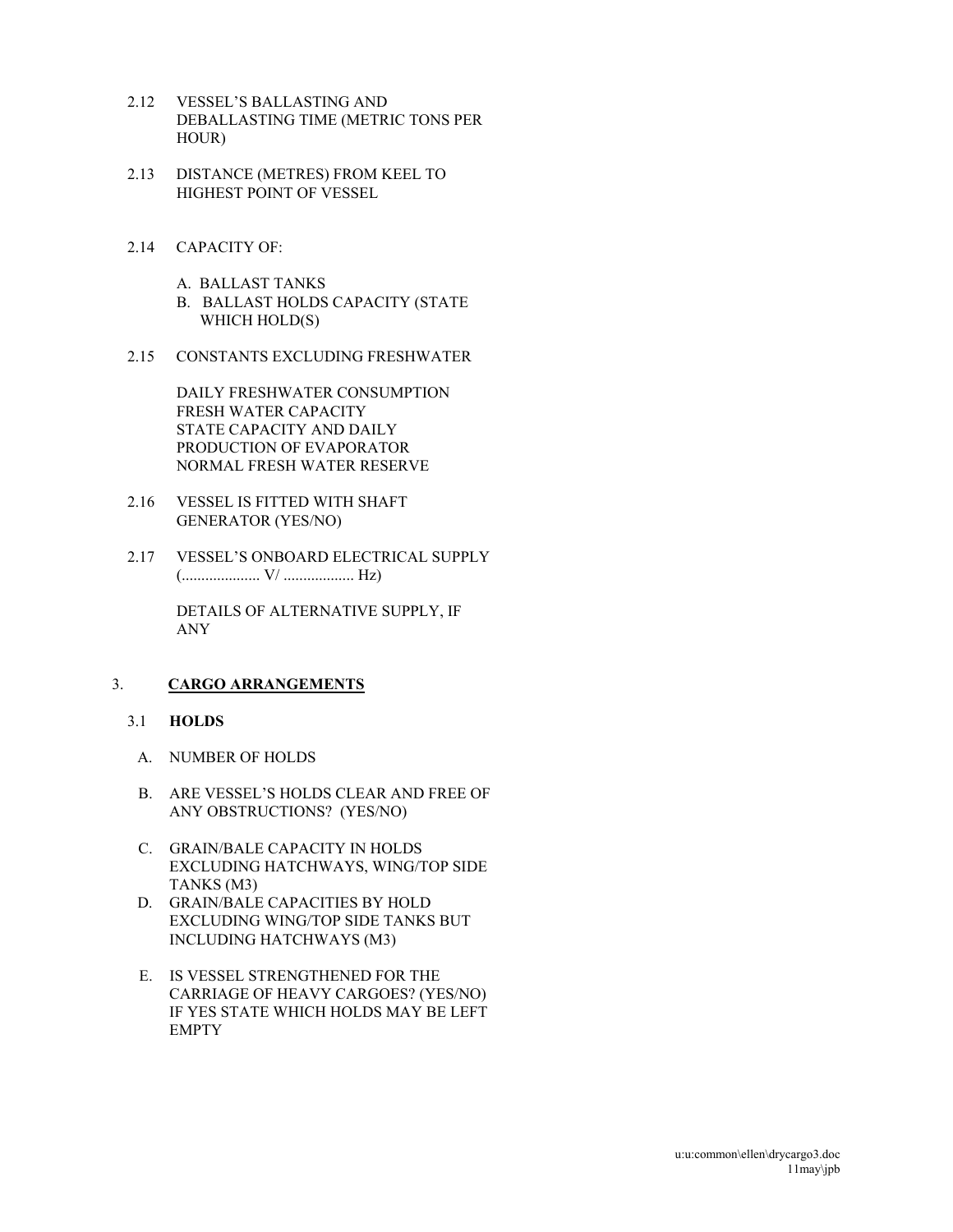- 2.12 VESSEL'S BALLASTING AND DEBALLASTING TIME (METRIC TONS PER HOUR)
- 2.13 DISTANCE (METRES) FROM KEEL TO HIGHEST POINT OF VESSEL
- 2.14 CAPACITY OF:
	- A. BALLAST TANKS B. BALLAST HOLDS CAPACITY (STATE WHICH HOLD(S)
- 2.15 CONSTANTS EXCLUDING FRESHWATER

DAILY FRESHWATER CONSUMPTION FRESH WATER CAPACITY STATE CAPACITY AND DAILY PRODUCTION OF EVAPORATOR NORMAL FRESH WATER RESERVE

- 2.16 VESSEL IS FITTED WITH SHAFT GENERATOR (YES/NO)
- 2.17 VESSEL'S ONBOARD ELECTRICAL SUPPLY (.................... V/ .................. Hz)

 DETAILS OF ALTERNATIVE SUPPLY, IF ANY

# 3. **CARGO ARRANGEMENTS**

# 3.1 **HOLDS**

- A. NUMBER OF HOLDS
- B. ARE VESSEL'S HOLDS CLEAR AND FREE OF ANY OBSTRUCTIONS? (YES/NO)
- C. GRAIN/BALE CAPACITY IN HOLDS EXCLUDING HATCHWAYS, WING/TOP SIDE TANKS (M3)
- D. GRAIN/BALE CAPACITIES BY HOLD EXCLUDING WING/TOP SIDE TANKS BUT INCLUDING HATCHWAYS (M3)
- E. IS VESSEL STRENGTHENED FOR THE CARRIAGE OF HEAVY CARGOES? (YES/NO) IF YES STATE WHICH HOLDS MAY BE LEFT EMPTY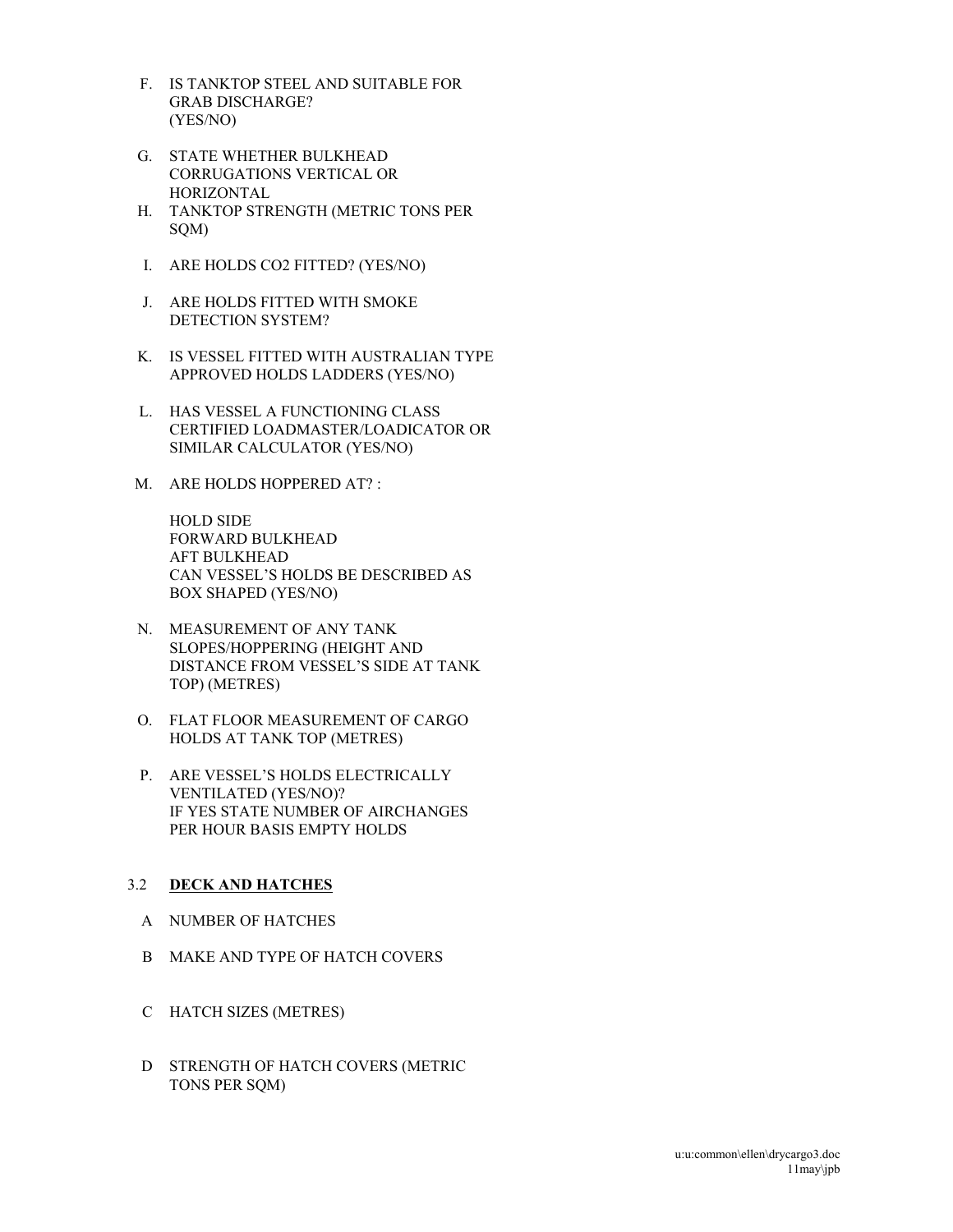- F. IS TANKTOP STEEL AND SUITABLE FOR GRAB DISCHARGE? (YES/NO)
- G. STATE WHETHER BULKHEAD CORRUGATIONS VERTICAL OR HORIZONTAL
- H. TANKTOP STRENGTH (METRIC TONS PER SQM)
- I. ARE HOLDS CO2 FITTED? (YES/NO)
- J. ARE HOLDS FITTED WITH SMOKE DETECTION SYSTEM?
- K. IS VESSEL FITTED WITH AUSTRALIAN TYPE APPROVED HOLDS LADDERS (YES/NO)
- L. HAS VESSEL A FUNCTIONING CLASS CERTIFIED LOADMASTER/LOADICATOR OR SIMILAR CALCULATOR (YES/NO)
- M. ARE HOLDS HOPPERED AT? :

 HOLD SIDE FORWARD BULKHEAD AFT BULKHEAD CAN VESSEL'S HOLDS BE DESCRIBED AS BOX SHAPED (YES/NO)

- N. MEASUREMENT OF ANY TANK SLOPES/HOPPERING (HEIGHT AND DISTANCE FROM VESSEL'S SIDE AT TANK TOP) (METRES)
- O. FLAT FLOOR MEASUREMENT OF CARGO HOLDS AT TANK TOP (METRES)
- P. ARE VESSEL'S HOLDS ELECTRICALLY VENTILATED (YES/NO)? IF YES STATE NUMBER OF AIRCHANGES PER HOUR BASIS EMPTY HOLDS

# 3.2 **DECK AND HATCHES**

- A NUMBER OF HATCHES
- B MAKE AND TYPE OF HATCH COVERS
- C HATCH SIZES (METRES)
- D STRENGTH OF HATCH COVERS (METRIC TONS PER SQM)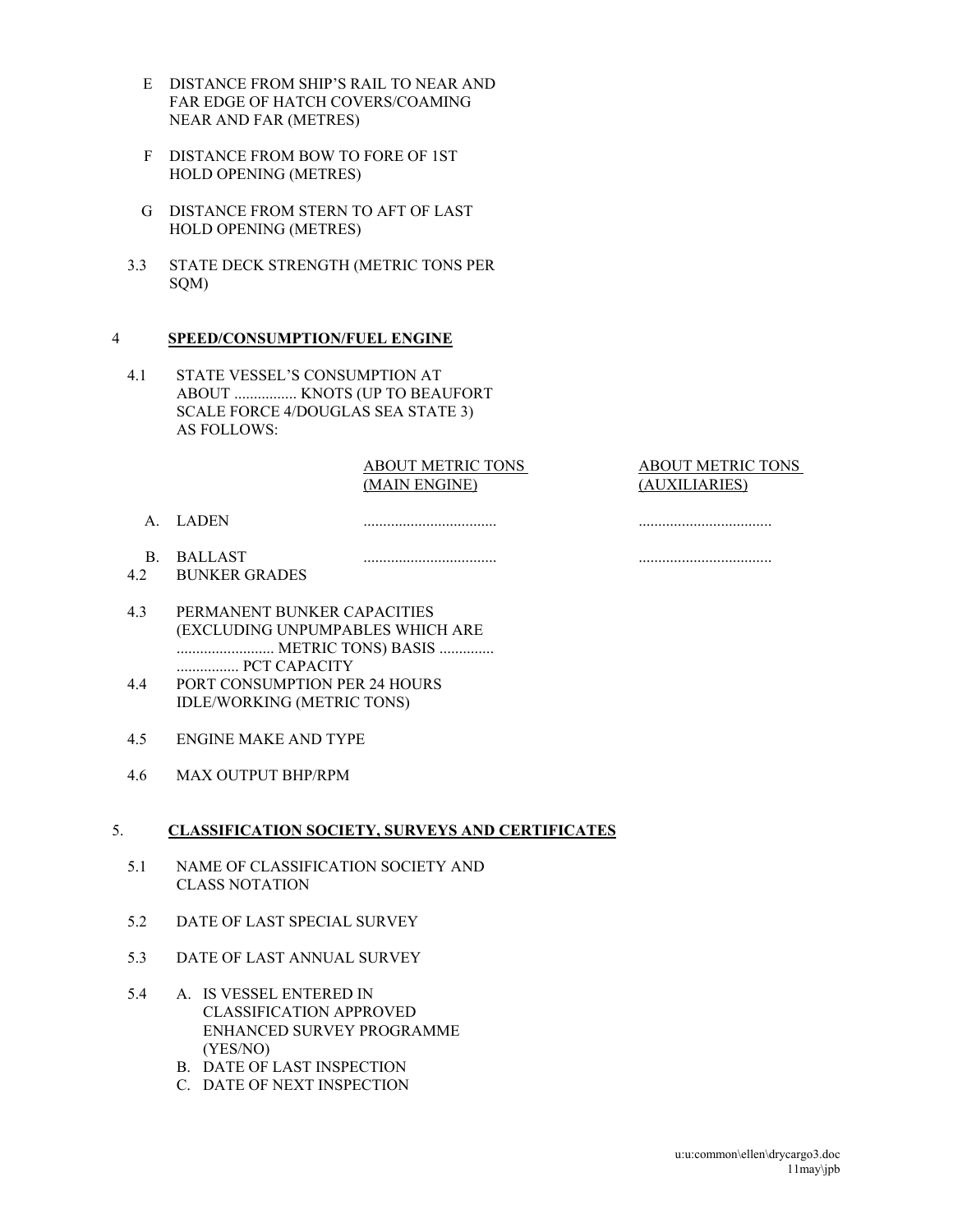- E DISTANCE FROM SHIP'S RAIL TO NEAR AND FAR EDGE OF HATCH COVERS/COAMING NEAR AND FAR (METRES)
- F DISTANCE FROM BOW TO FORE OF 1ST HOLD OPENING (METRES)
- G DISTANCE FROM STERN TO AFT OF LAST HOLD OPENING (METRES)
- 3.3 STATE DECK STRENGTH (METRIC TONS PER SQM)

#### 4 **SPEED/CONSUMPTION/FUEL ENGINE**

4.1 STATE VESSEL'S CONSUMPTION AT ABOUT ................ KNOTS (UP TO BEAUFORT SCALE FORCE 4/DOUGLAS SEA STATE 3) AS FOLLOWS:

#### ABOUT METRIC TONS (MAIN ENGINE)

..................................

#### ABOUT METRIC TONS (AUXILIARIES)

..................................

- A. LADEN
- .................................. ..................................
- B. BALLAST 4.2 BUNKER GRADES
- 4.3 PERMANENT BUNKER CAPACITIES (EXCLUDING UNPUMPABLES WHICH ARE ......................... METRIC TONS) BASIS .............. ................ PCT CAPACITY
- 4.4 PORT CONSUMPTION PER 24 HOURS IDLE/WORKING (METRIC TONS)
- 4.5 ENGINE MAKE AND TYPE
- 4.6 MAX OUTPUT BHP/RPM

#### 5. **CLASSIFICATION SOCIETY, SURVEYS AND CERTIFICATES**

- 5.1 NAME OF CLASSIFICATION SOCIETY AND CLASS NOTATION
- 5.2 DATE OF LAST SPECIAL SURVEY
- 5.3 DATE OF LAST ANNUAL SURVEY
- 5.4 A. IS VESSEL ENTERED IN CLASSIFICATION APPROVED ENHANCED SURVEY PROGRAMME (YES/NO)
	- B. DATE OF LAST INSPECTION
	- C. DATE OF NEXT INSPECTION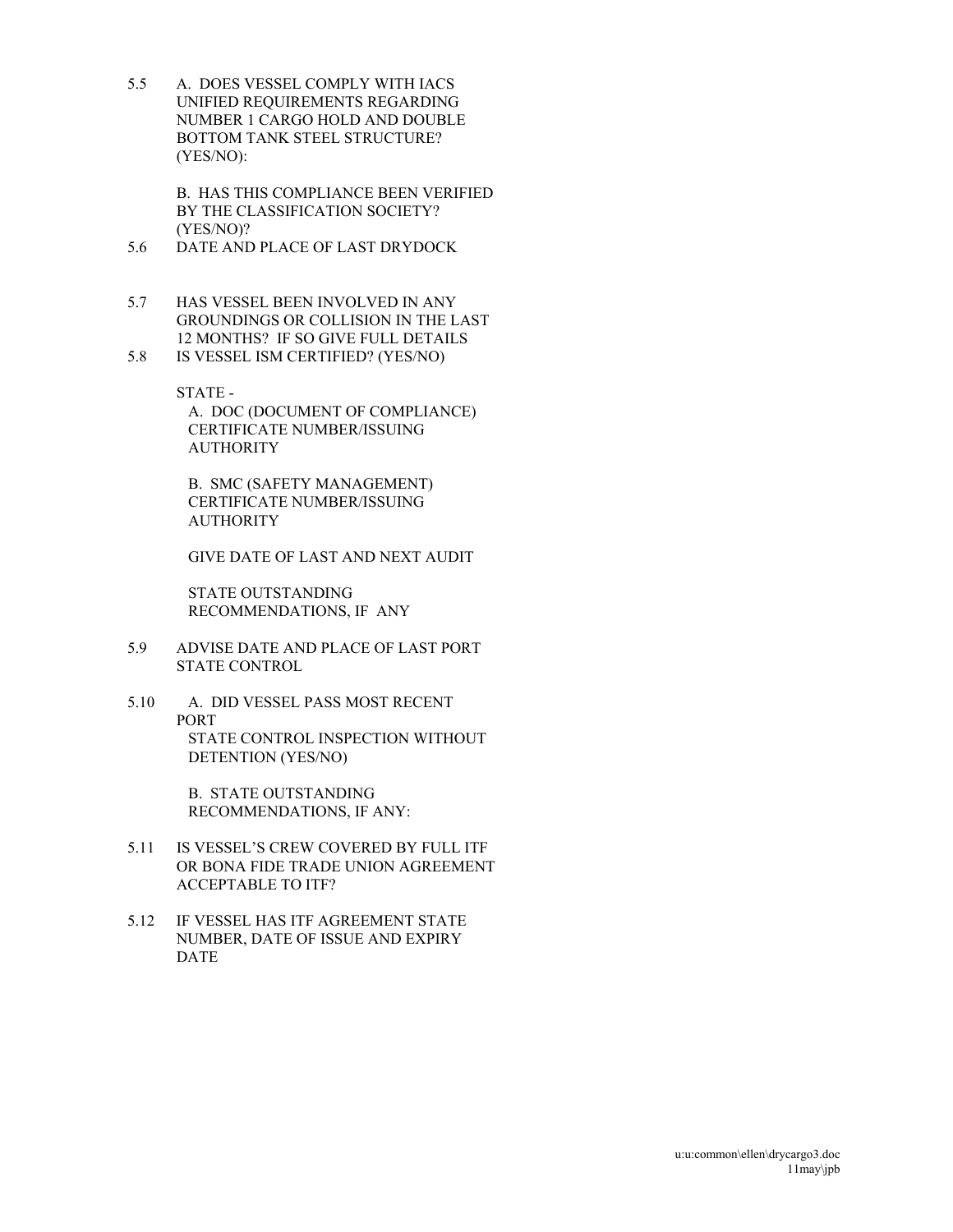5.5 A. DOES VESSEL COMPLY WITH IACS UNIFIED REQUIREMENTS REGARDING NUMBER 1 CARGO HOLD AND DOUBLE BOTTOM TANK STEEL STRUCTURE? (YES/NO):

> B. HAS THIS COMPLIANCE BEEN VERIFIED BY THE CLASSIFICATION SOCIETY? (YES/NO)?

- 5.6 DATE AND PLACE OF LAST DRYDOCK
- 5.7 HAS VESSEL BEEN INVOLVED IN ANY GROUNDINGS OR COLLISION IN THE LAST 12 MONTHS? IF SO GIVE FULL DETAILS
- 5.8 IS VESSEL ISM CERTIFIED? (YES/NO)

STATE - A. DOC (DOCUMENT OF COMPLIANCE) CERTIFICATE NUMBER/ISSUING **AUTHORITY** 

 B. SMC (SAFETY MANAGEMENT) CERTIFICATE NUMBER/ISSUING AUTHORITY

GIVE DATE OF LAST AND NEXT AUDIT

 STATE OUTSTANDING RECOMMENDATIONS, IF ANY

- 5.9 ADVISE DATE AND PLACE OF LAST PORT STATE CONTROL
- 5.10 A. DID VESSEL PASS MOST RECENT PORT STATE CONTROL INSPECTION WITHOUT DETENTION (YES/NO)

 B. STATE OUTSTANDING RECOMMENDATIONS, IF ANY:

- 5.11 IS VESSEL'S CREW COVERED BY FULL ITF OR BONA FIDE TRADE UNION AGREEMENT ACCEPTABLE TO ITF?
- 5.12 IF VESSEL HAS ITF AGREEMENT STATE NUMBER, DATE OF ISSUE AND EXPIRY DATE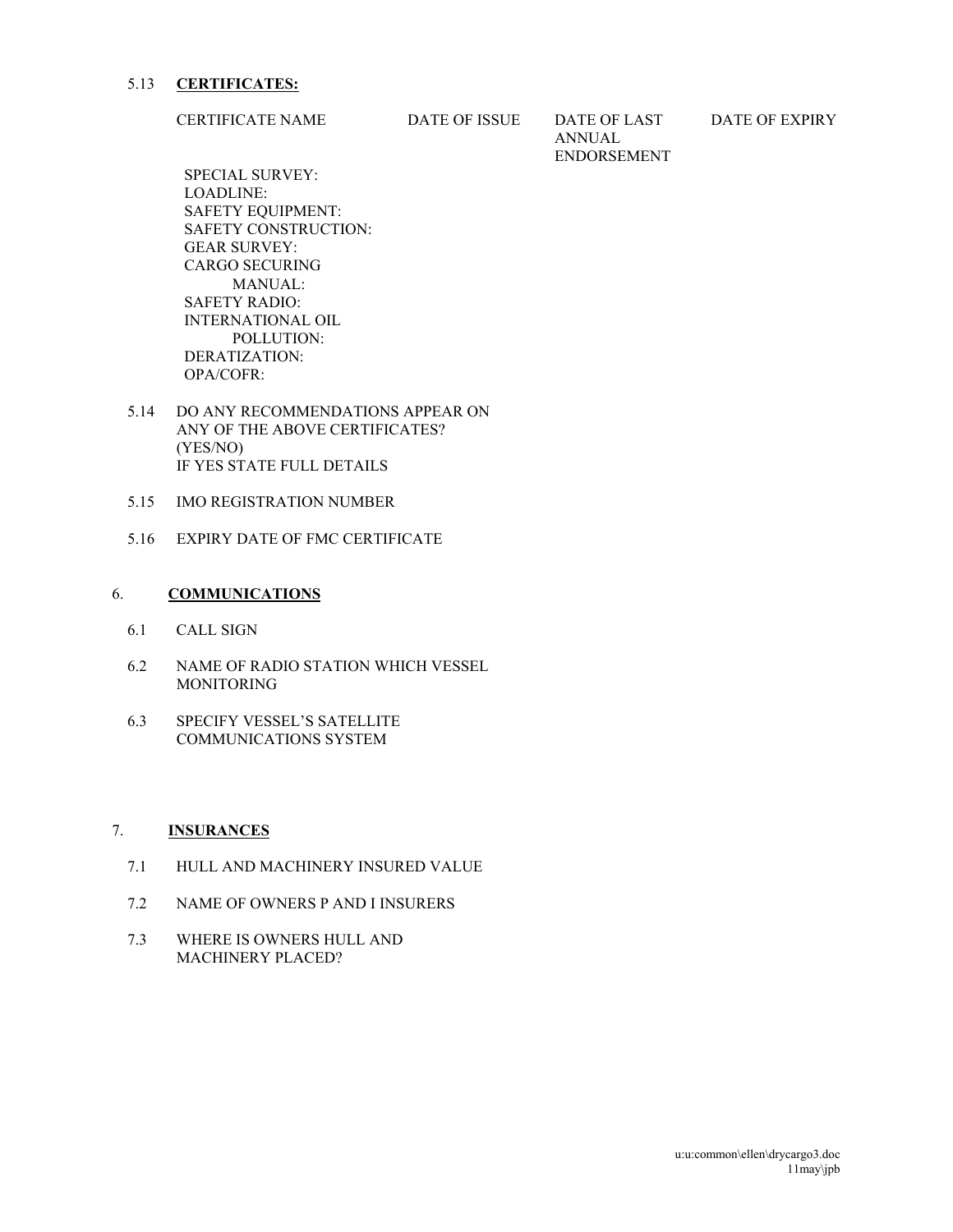#### 5.13 **CERTIFICATES:**

CERTIFICATE NAME DATE OF ISSUE DATE OF LAST

ANNUAL ENDORSEMENT DATE OF EXPIRY

 SPECIAL SURVEY: LOADLINE: SAFETY EQUIPMENT: SAFETY CONSTRUCTION: GEAR SURVEY: CARGO SECURING MANUAL: SAFETY RADIO: INTERNATIONAL OIL POLLUTION: DERATIZATION: OPA/COFR:

- 5.14 DO ANY RECOMMENDATIONS APPEAR ON ANY OF THE ABOVE CERTIFICATES? (YES/NO) IF YES STATE FULL DETAILS
- 5.15 IMO REGISTRATION NUMBER
- 5.16 EXPIRY DATE OF FMC CERTIFICATE

### 6. **COMMUNICATIONS**

- 6.1 CALL SIGN
- 6.2 NAME OF RADIO STATION WHICH VESSEL MONITORING
- 6.3 SPECIFY VESSEL'S SATELLITE COMMUNICATIONS SYSTEM

### 7. **INSURANCES**

- 7.1 HULL AND MACHINERY INSURED VALUE
- 7.2 NAME OF OWNERS P AND I INSURERS
- 7.3 WHERE IS OWNERS HULL AND MACHINERY PLACED?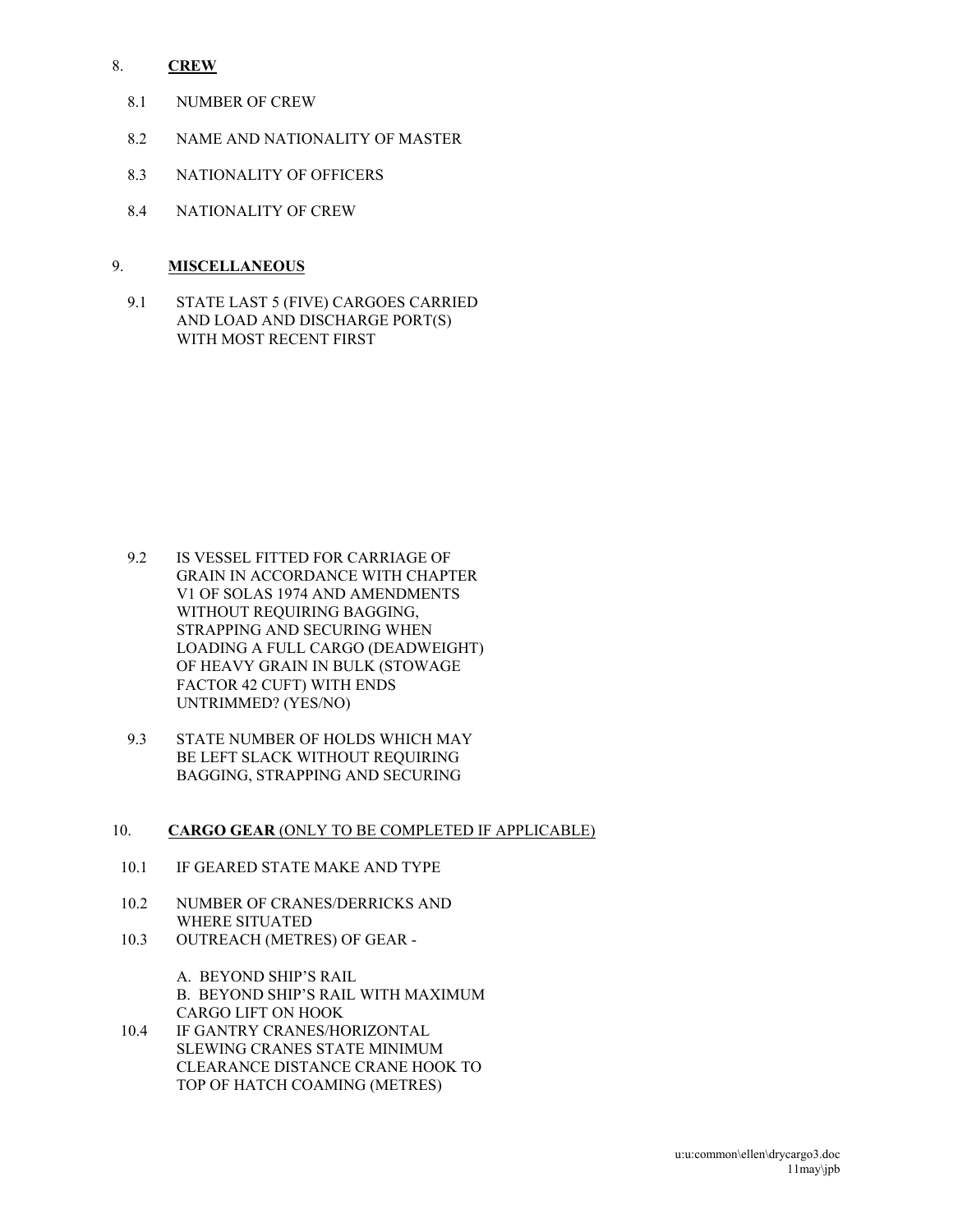### 8. **CREW**

- 8.1 NUMBER OF CREW
- 8.2 NAME AND NATIONALITY OF MASTER
- 8.3 NATIONALITY OF OFFICERS
- 8.4 NATIONALITY OF CREW

### 9. **MISCELLANEOUS**

9.1 STATE LAST 5 (FIVE) CARGOES CARRIED AND LOAD AND DISCHARGE PORT(S) WITH MOST RECENT FIRST

- 9.2 IS VESSEL FITTED FOR CARRIAGE OF GRAIN IN ACCORDANCE WITH CHAPTER V1 OF SOLAS 1974 AND AMENDMENTS WITHOUT REQUIRING BAGGING. STRAPPING AND SECURING WHEN LOADING A FULL CARGO (DEADWEIGHT) OF HEAVY GRAIN IN BULK (STOWAGE FACTOR 42 CUFT) WITH ENDS UNTRIMMED? (YES/NO)
- 9.3 STATE NUMBER OF HOLDS WHICH MAY BE LEFT SLACK WITHOUT REQUIRING BAGGING, STRAPPING AND SECURING

### 10. **CARGO GEAR** (ONLY TO BE COMPLETED IF APPLICABLE)

- 10.1 IF GEARED STATE MAKE AND TYPE
- 10.2 NUMBER OF CRANES/DERRICKS AND WHERE SITUATED
- 10.3 OUTREACH (METRES) OF GEAR -

A. BEYOND SHIP'S RAIL B. BEYOND SHIP'S RAIL WITH MAXIMUM CARGO LIFT ON HOOK

10.4 IF GANTRY CRANES/HORIZONTAL SLEWING CRANES STATE MINIMUM CLEARANCE DISTANCE CRANE HOOK TO TOP OF HATCH COAMING (METRES)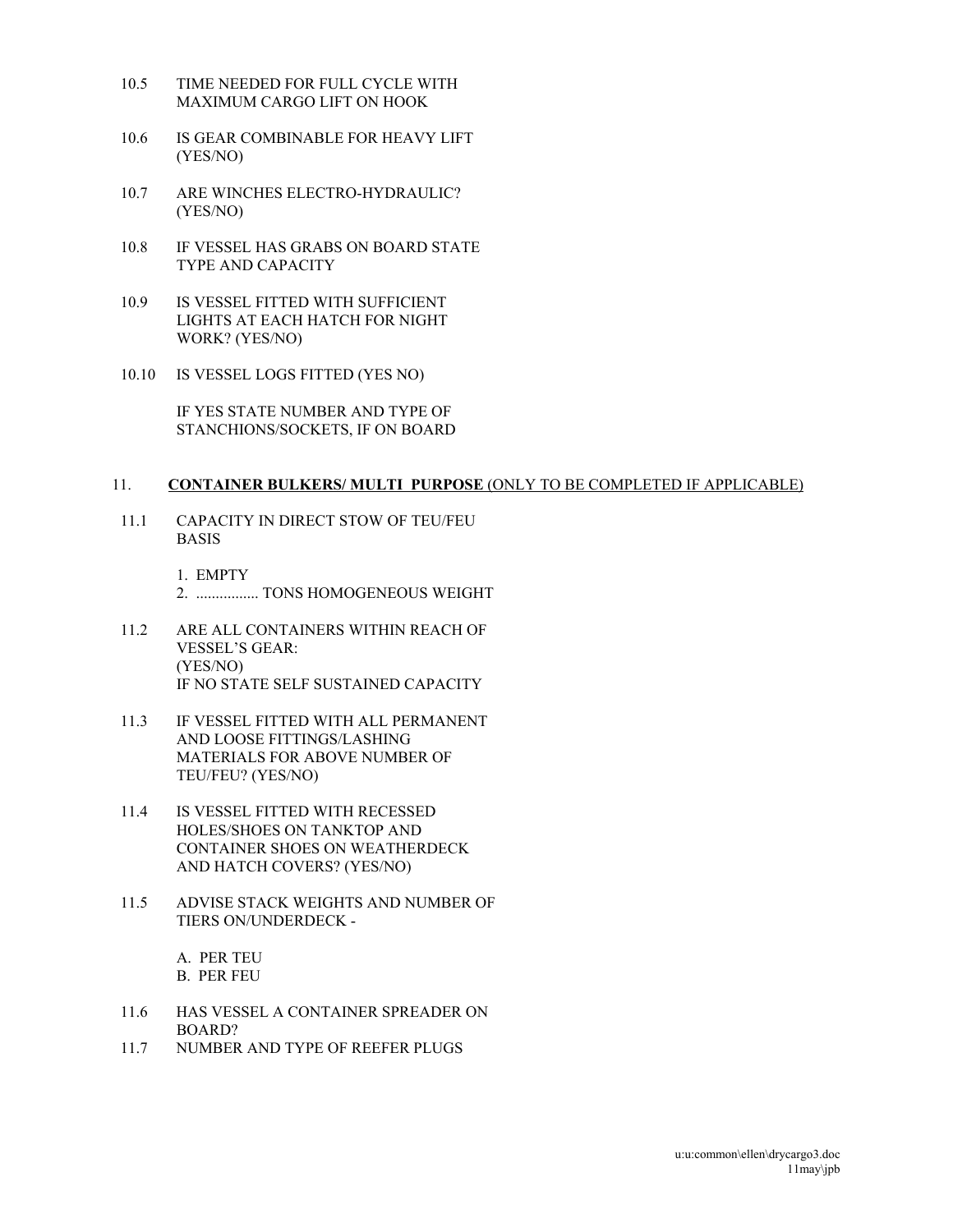- 10.5 TIME NEEDED FOR FULL CYCLE WITH MAXIMUM CARGO LIFT ON HOOK
- 10.6 IS GEAR COMBINABLE FOR HEAVY LIFT (YES/NO)
- 10.7 ARE WINCHES ELECTRO-HYDRAULIC? (YES/NO)
- 10.8 IF VESSEL HAS GRABS ON BOARD STATE TYPE AND CAPACITY
- 10.9 IS VESSEL FITTED WITH SUFFICIENT LIGHTS AT EACH HATCH FOR NIGHT WORK? (YES/NO)
- 10.10 IS VESSEL LOGS FITTED (YES NO)

IF YES STATE NUMBER AND TYPE OF STANCHIONS/SOCKETS, IF ON BOARD

#### 11. **CONTAINER BULKERS/ MULTI PURPOSE** (ONLY TO BE COMPLETED IF APPLICABLE)

11.1 CAPACITY IN DIRECT STOW OF TEU/FEU BASIS

> 1. EMPTY 2. ................ TONS HOMOGENEOUS WEIGHT

- 11.2 ARE ALL CONTAINERS WITHIN REACH OF VESSEL'S GEAR: (YES/NO) IF NO STATE SELF SUSTAINED CAPACITY
- 11.3 IF VESSEL FITTED WITH ALL PERMANENT AND LOOSE FITTINGS/LASHING MATERIALS FOR ABOVE NUMBER OF TEU/FEU? (YES/NO)
- 11.4 IS VESSEL FITTED WITH RECESSED HOLES/SHOES ON TANKTOP AND CONTAINER SHOES ON WEATHERDECK AND HATCH COVERS? (YES/NO)
- 11.5 ADVISE STACK WEIGHTS AND NUMBER OF TIERS ON/UNDERDECK -

A. PER TEU B. PER FEU

- 11.6 HAS VESSEL A CONTAINER SPREADER ON BOARD?
- 11.7 NUMBER AND TYPE OF REEFER PLUGS